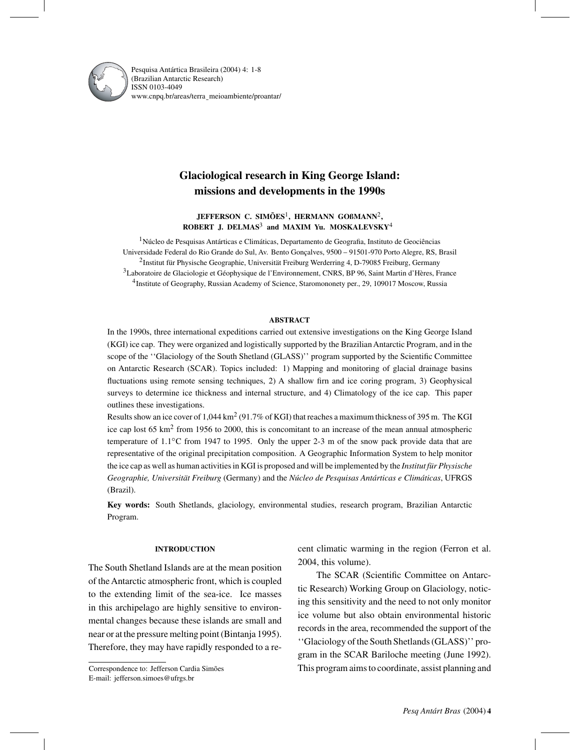

Pesquisa Antártica Brasileira (2004) 4: 1-8 (Brazilian Antarctic Research) ISSN 0103-4049 www.cnpq.br/areas/terra¯ meioambiente/proantar/

# **Glaciological research in King George Island: missions and developments in the 1990s**

**JEFFERSON C. SIMÕES**1**, HERMANN GOßMANN**2**, ROBERT J. DELMAS**<sup>3</sup> **and MAXIM Yu. MOSKALEVSKY**<sup>4</sup>

<sup>1</sup>Núcleo de Pesquisas Antárticas e Climáticas, Departamento de Geografia, Instituto de Geociências Universidade Federal do Rio Grande do Sul, Av. Bento Gonçalves, 9500 – 91501-970 Porto Alegre, RS, Brasil 2Institut für Physische Geographie, Universität Freiburg Werderring 4, D-79085 Freiburg, Germany 3Laboratoire de Glaciologie et Géophysique de l'Environnement, CNRS, BP 96, Saint Martin d'Hères, France 4Institute of Geography, Russian Academy of Science, Staromononety per., 29, 109017 Moscow, Russia

### **ABSTRACT**

In the 1990s, three international expeditions carried out extensive investigations on the King George Island (KGI) ice cap. They were organized and logistically supported by the Brazilian Antarctic Program, and in the scope of the "Glaciology of the South Shetland (GLASS)" program supported by the Scientific Committee on Antarctic Research (SCAR). Topics included: 1) Mapping and monitoring of glacial drainage basins fluctuations using remote sensing techniques, 2) A shallow firn and ice coring program, 3) Geophysical surveys to determine ice thickness and internal structure, and 4) Climatology of the ice cap. This paper outlines these investigations.

Results show an ice cover of  $1.044 \text{ km}^2$  (91.7% of KGI) that reaches a maximum thickness of 395 m. The KGI ice cap lost 65 km<sup>2</sup> from 1956 to 2000, this is concomitant to an increase of the mean annual atmospheric temperature of 1.1◦C from 1947 to 1995. Only the upper 2-3 m of the snow pack provide data that are representative of the original precipitation composition. A Geographic Information System to help monitor the ice cap as well as human activities in KGI is proposed and will be implemented by the *Institut für Physische Geographie, Universität Freiburg* (Germany) and the *Núcleo de Pesquisas Antárticas e Climáticas*, UFRGS (Brazil).

**Key words:** South Shetlands, glaciology, environmental studies, research program, Brazilian Antarctic Program.

### **INTRODUCTION**

The South Shetland Islands are at the mean position of the Antarctic atmospheric front, which is coupled to the extending limit of the sea-ice. Ice masses in this archipelago are highly sensitive to environmental changes because these islands are small and near or at the pressure melting point (Bintanja 1995). Therefore, they may have rapidly responded to a re-

Correspondence to: Jefferson Cardia Simões E-mail: jefferson.simoes@ufrgs.br

cent climatic warming in the region (Ferron et al. 2004, this volume).

The SCAR (Scientific Committee on Antarctic Research) Working Group on Glaciology, noticing this sensitivity and the need to not only monitor ice volume but also obtain environmental historic records in the area, recommended the support of the ''Glaciology of the South Shetlands (GLASS)'' program in the SCAR Bariloche meeting (June 1992). This program aims to coordinate, assist planning and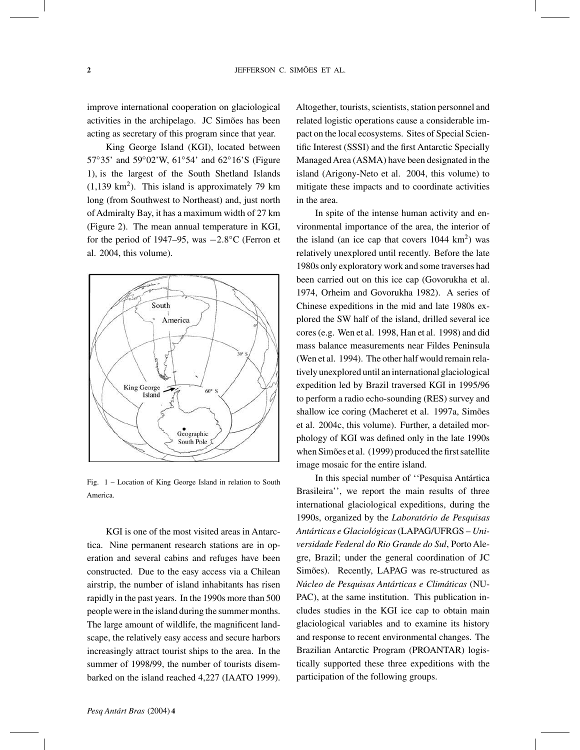improve international cooperation on glaciological activities in the archipelago. JC Simões has been acting as secretary of this program since that year.

King George Island (KGI), located between 57◦35' and 59◦02'W, 61◦54' and 62◦16'S (Figure 1), is the largest of the South Shetland Islands  $(1,139 \text{ km}^2)$ . This island is approximately 79 km long (from Southwest to Northeast) and, just north of Admiralty Bay, it has a maximum width of 27 km (Figure 2). The mean annual temperature in KGI, for the period of 1947–95, was −2.8◦C (Ferron et al. 2004, this volume).



Fig. 1 – Location of King George Island in relation to South America.

KGI is one of the most visited areas in Antarctica. Nine permanent research stations are in operation and several cabins and refuges have been constructed. Due to the easy access via a Chilean airstrip, the number of island inhabitants has risen rapidly in the past years. In the 1990s more than 500 people were in the island during the summer months. The large amount of wildlife, the magnificent landscape, the relatively easy access and secure harbors increasingly attract tourist ships to the area. In the summer of 1998/99, the number of tourists disembarked on the island reached 4,227 (IAATO 1999). Altogether, tourists, scientists, station personnel and related logistic operations cause a considerable impact on the local ecosystems. Sites of Special Scientific Interest (SSSI) and the first Antarctic Specially Managed Area (ASMA) have been designated in the island (Arigony-Neto et al. 2004, this volume) to mitigate these impacts and to coordinate activities in the area.

In spite of the intense human activity and environmental importance of the area, the interior of the island (an ice cap that covers  $1044 \text{ km}^2$ ) was relatively unexplored until recently. Before the late 1980s only exploratory work and some traverses had been carried out on this ice cap (Govorukha et al. 1974, Orheim and Govorukha 1982). A series of Chinese expeditions in the mid and late 1980s explored the SW half of the island, drilled several ice cores (e.g. Wen et al. 1998, Han et al. 1998) and did mass balance measurements near Fildes Peninsula (Wen et al. 1994). The other half would remain relatively unexplored until an international glaciological expedition led by Brazil traversed KGI in 1995/96 to perform a radio echo-sounding (RES) survey and shallow ice coring (Macheret et al. 1997a, Simões et al. 2004c, this volume). Further, a detailed morphology of KGI was defined only in the late 1990s when Simões et al. (1999) produced the first satellite image mosaic for the entire island.

In this special number of ''Pesquisa Antártica Brasileira'', we report the main results of three international glaciological expeditions, during the 1990s, organized by the *Laboratório de Pesquisas Antárticas e Glaciológicas*(LAPAG/UFRGS – *Universidade Federal do Rio Grande do Sul*, Porto Alegre, Brazil; under the general coordination of JC Simões). Recently, LAPAG was re-structured as *Núcleo de Pesquisas Antárticas e Climáticas* (NU-PAC), at the same institution. This publication includes studies in the KGI ice cap to obtain main glaciological variables and to examine its history and response to recent environmental changes. The Brazilian Antarctic Program (PROANTAR) logistically supported these three expeditions with the participation of the following groups.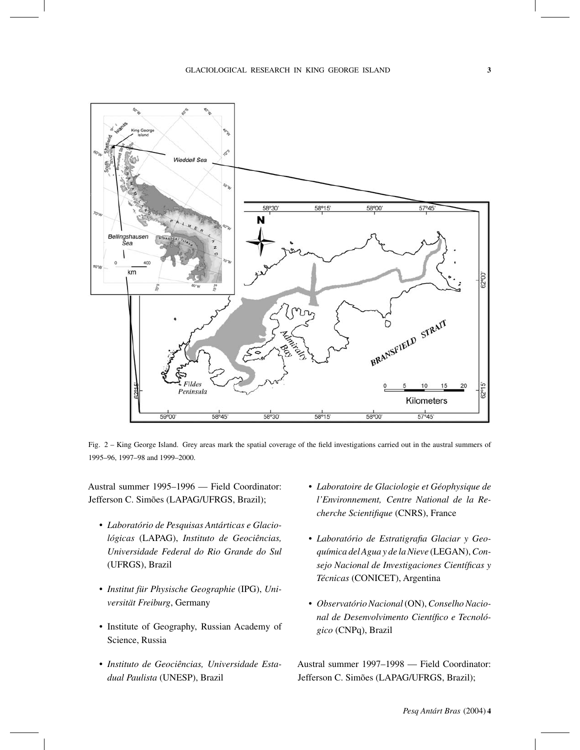

Fig. 2 – King George Island. Grey areas mark the spatial coverage of the field investigations carried out in the austral summers of 1995–96, 1997–98 and 1999–2000.

Austral summer 1995–1996 — Field Coordinator: Jefferson C. Simões (LAPAG/UFRGS, Brazil);

- *Laboratório de Pesquisas Antárticas e Glaciológicas* (LAPAG), *Instituto de Geociências, Universidade Federal do Rio Grande do Sul* (UFRGS), Brazil
- *Institut für Physische Geographie* (IPG), *Universität Freiburg*, Germany
- Institute of Geography, Russian Academy of Science, Russia
- *Instituto de Geociências, Universidade Estadual Paulista* (UNESP), Brazil
- *Laboratoire de Glaciologie et Géophysique de l'Environnement, Centre National de la Recherche Scientifique* (CNRS), France
- *Laboratório de Estratigrafia Glaciar y Geoquímica del Agua y de la Nieve* (LEGAN),*Consejo Nacional de Investigaciones Científicas y Técnicas* (CONICET), Argentina
- *Observatório Nacional*(ON),*Conselho Nacional de Desenvolvimento Científico e Tecnológico* (CNPq), Brazil

Austral summer 1997–1998 — Field Coordinator: Jefferson C. Simões (LAPAG/UFRGS, Brazil);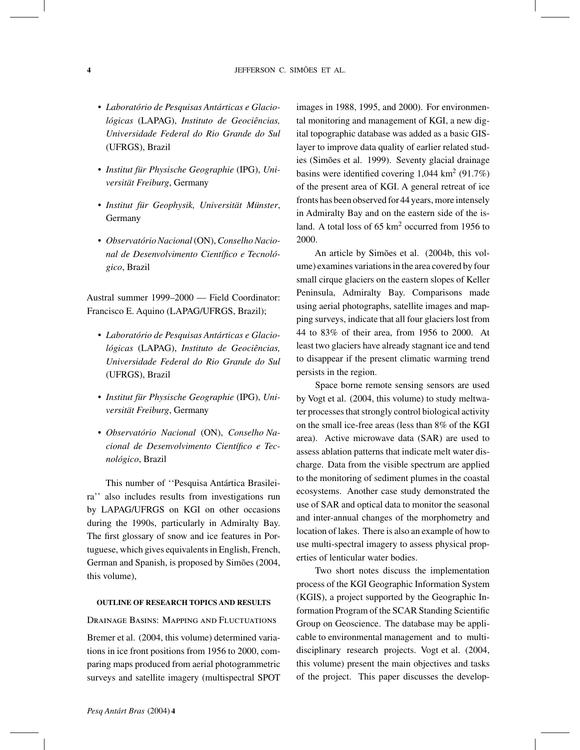- *Laboratório de Pesquisas Antárticas e Glaciológicas* (LAPAG), *Instituto de Geociências, Universidade Federal do Rio Grande do Sul* (UFRGS), Brazil
- *Institut für Physische Geographie* (IPG), *Universität Freiburg*, Germany
- *Institut für Geophysik, Universität Münster*, Germany
- *Observatório Nacional*(ON),*Conselho Nacional de Desenvolvimento Científico e Tecnológico*, Brazil

Austral summer 1999–2000 — Field Coordinator: Francisco E. Aquino (LAPAG/UFRGS, Brazil);

- *Laboratório de Pesquisas Antárticas e Glaciológicas* (LAPAG), *Instituto de Geociências, Universidade Federal do Rio Grande do Sul* (UFRGS), Brazil
- *Institut für Physische Geographie* (IPG), *Universität Freiburg*, Germany
- *Observatório Nacional* (ON), *Conselho Nacional de Desenvolvimento Científico e Tecnológico*, Brazil

This number of ''Pesquisa Antártica Brasileira'' also includes results from investigations run by LAPAG/UFRGS on KGI on other occasions during the 1990s, particularly in Admiralty Bay. The first glossary of snow and ice features in Portuguese, which gives equivalents in English, French, German and Spanish, is proposed by Simões (2004, this volume),

### **OUTLINE OF RESEARCH TOPICS AND RESULTS**

### Drainage Basins: Mapping and Fluctuations

Bremer et al. (2004, this volume) determined variations in ice front positions from 1956 to 2000, comparing maps produced from aerial photogrammetric surveys and satellite imagery (multispectral SPOT images in 1988, 1995, and 2000). For environmental monitoring and management of KGI, a new digital topographic database was added as a basic GISlayer to improve data quality of earlier related studies (Simões et al. 1999). Seventy glacial drainage basins were identified covering  $1,044 \text{ km}^2 (91.7\%)$ of the present area of KGI. A general retreat of ice fronts has been observed for 44 years, more intensely in Admiralty Bay and on the eastern side of the island. A total loss of 65 km<sup>2</sup> occurred from 1956 to 2000.

An article by Simões et al. (2004b, this volume) examines variations in the area covered by four small cirque glaciers on the eastern slopes of Keller Peninsula, Admiralty Bay. Comparisons made using aerial photographs, satellite images and mapping surveys, indicate that all four glaciers lost from 44 to 83% of their area, from 1956 to 2000. At least two glaciers have already stagnant ice and tend to disappear if the present climatic warming trend persists in the region.

Space borne remote sensing sensors are used by Vogt et al. (2004, this volume) to study meltwater processes that strongly control biological activity on the small ice-free areas (less than 8% of the KGI area). Active microwave data (SAR) are used to assess ablation patterns that indicate melt water discharge. Data from the visible spectrum are applied to the monitoring of sediment plumes in the coastal ecosystems. Another case study demonstrated the use of SAR and optical data to monitor the seasonal and inter-annual changes of the morphometry and location of lakes. There is also an example of how to use multi-spectral imagery to assess physical properties of lenticular water bodies.

Two short notes discuss the implementation process of the KGI Geographic Information System (KGIS), a project supported by the Geographic Information Program of the SCAR Standing Scientific Group on Geoscience. The database may be applicable to environmental management and to multidisciplinary research projects. Vogt et al. (2004, this volume) present the main objectives and tasks of the project. This paper discusses the develop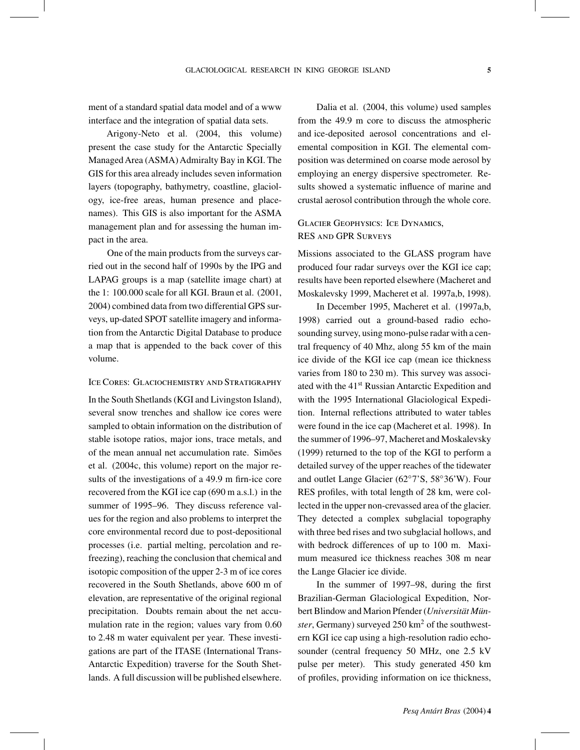ment of a standard spatial data model and of a www interface and the integration of spatial data sets.

Arigony-Neto et al. (2004, this volume) present the case study for the Antarctic Specially Managed Area (ASMA) Admiralty Bay in KGI. The GIS for this area already includes seven information layers (topography, bathymetry, coastline, glaciology, ice-free areas, human presence and placenames). This GIS is also important for the ASMA management plan and for assessing the human impact in the area.

One of the main products from the surveys carried out in the second half of 1990s by the IPG and LAPAG groups is a map (satellite image chart) at the 1: 100.000 scale for all KGI. Braun et al. (2001, 2004) combined data from two differential GPS surveys, up-dated SPOT satellite imagery and information from the Antarctic Digital Database to produce a map that is appended to the back cover of this volume.

### Ice Cores: Glaciochemistry and Stratigraphy

In the South Shetlands (KGI and Livingston Island), several snow trenches and shallow ice cores were sampled to obtain information on the distribution of stable isotope ratios, major ions, trace metals, and of the mean annual net accumulation rate. Simões et al. (2004c, this volume) report on the major results of the investigations of a 49.9 m firn-ice core recovered from the KGI ice cap (690 m a.s.l.) in the summer of 1995–96. They discuss reference values for the region and also problems to interpret the core environmental record due to post-depositional processes (i.e. partial melting, percolation and refreezing), reaching the conclusion that chemical and isotopic composition of the upper 2-3 m of ice cores recovered in the South Shetlands, above 600 m of elevation, are representative of the original regional precipitation. Doubts remain about the net accumulation rate in the region; values vary from 0.60 to 2.48 m water equivalent per year. These investigations are part of the ITASE (International Trans-Antarctic Expedition) traverse for the South Shetlands. A full discussion will be published elsewhere.

Dalia et al. (2004, this volume) used samples from the 49.9 m core to discuss the atmospheric and ice-deposited aerosol concentrations and elemental composition in KGI. The elemental composition was determined on coarse mode aerosol by employing an energy dispersive spectrometer. Results showed a systematic influence of marine and crustal aerosol contribution through the whole core.

# Glacier Geophysics: Ice Dynamics, RES and GPR Surveys

Missions associated to the GLASS program have produced four radar surveys over the KGI ice cap; results have been reported elsewhere (Macheret and Moskalevsky 1999, Macheret et al. 1997a,b, 1998).

In December 1995, Macheret et al. (1997a,b, 1998) carried out a ground-based radio echosounding survey, using mono-pulse radar with a central frequency of 40 Mhz, along 55 km of the main ice divide of the KGI ice cap (mean ice thickness varies from 180 to 230 m). This survey was associated with the 41st Russian Antarctic Expedition and with the 1995 International Glaciological Expedition. Internal reflections attributed to water tables were found in the ice cap (Macheret et al. 1998). In the summer of 1996–97, Macheret and Moskalevsky (1999) returned to the top of the KGI to perform a detailed survey of the upper reaches of the tidewater and outlet Lange Glacier (62◦7'S, 58◦36'W). Four RES profiles, with total length of 28 km, were collected in the upper non-crevassed area of the glacier. They detected a complex subglacial topography with three bed rises and two subglacial hollows, and with bedrock differences of up to 100 m. Maximum measured ice thickness reaches 308 m near the Lange Glacier ice divide.

In the summer of 1997–98, during the first Brazilian-German Glaciological Expedition, Norbert Blindow and Marion Pfender (*Universität Münster*, Germany) surveyed  $250 \text{ km}^2$  of the southwestern KGI ice cap using a high-resolution radio echosounder (central frequency 50 MHz, one 2.5 kV pulse per meter). This study generated 450 km of profiles, providing information on ice thickness,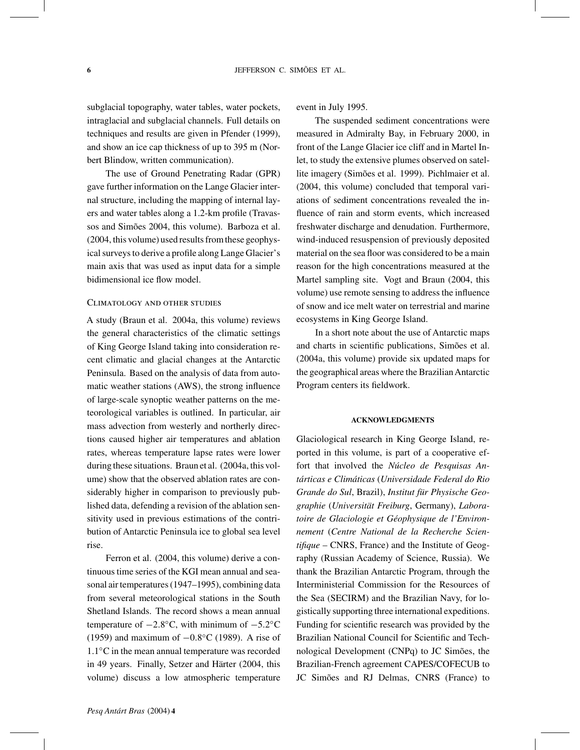subglacial topography, water tables, water pockets, intraglacial and subglacial channels. Full details on techniques and results are given in Pfender (1999), and show an ice cap thickness of up to 395 m (Norbert Blindow, written communication).

The use of Ground Penetrating Radar (GPR) gave further information on the Lange Glacier internal structure, including the mapping of internal layers and water tables along a 1.2-km profile (Travassos and Simões 2004, this volume). Barboza et al. (2004, this volume) used results from these geophysical surveys to derive a profile along Lange Glacier's main axis that was used as input data for a simple bidimensional ice flow model.

## Climatology and other studies

A study (Braun et al. 2004a, this volume) reviews the general characteristics of the climatic settings of King George Island taking into consideration recent climatic and glacial changes at the Antarctic Peninsula. Based on the analysis of data from automatic weather stations (AWS), the strong influence of large-scale synoptic weather patterns on the meteorological variables is outlined. In particular, air mass advection from westerly and northerly directions caused higher air temperatures and ablation rates, whereas temperature lapse rates were lower during these situations. Braun et al. (2004a, this volume) show that the observed ablation rates are considerably higher in comparison to previously published data, defending a revision of the ablation sensitivity used in previous estimations of the contribution of Antarctic Peninsula ice to global sea level rise.

Ferron et al. (2004, this volume) derive a continuous time series of the KGI mean annual and seasonal air temperatures (1947–1995), combining data from several meteorological stations in the South Shetland Islands. The record shows a mean annual temperature of  $-2.8\textdegree C$ , with minimum of  $-5.2\textdegree C$ (1959) and maximum of −0.8◦C (1989). A rise of 1.1◦C in the mean annual temperature was recorded in 49 years. Finally, Setzer and Härter (2004, this volume) discuss a low atmospheric temperature

event in July 1995.

The suspended sediment concentrations were measured in Admiralty Bay, in February 2000, in front of the Lange Glacier ice cliff and in Martel Inlet, to study the extensive plumes observed on satellite imagery (Simões et al. 1999). Pichlmaier et al. (2004, this volume) concluded that temporal variations of sediment concentrations revealed the influence of rain and storm events, which increased freshwater discharge and denudation. Furthermore, wind-induced resuspension of previously deposited material on the sea floor was considered to be a main reason for the high concentrations measured at the Martel sampling site. Vogt and Braun (2004, this volume) use remote sensing to address the influence of snow and ice melt water on terrestrial and marine ecosystems in King George Island.

In a short note about the use of Antarctic maps and charts in scientific publications, Simões et al. (2004a, this volume) provide six updated maps for the geographical areas where the Brazilian Antarctic Program centers its fieldwork.

### **ACKNOWLEDGMENTS**

Glaciological research in King George Island, reported in this volume, is part of a cooperative effort that involved the *Núcleo de Pesquisas Antárticas e Climáticas* (*Universidade Federal do Rio Grande do Sul*, Brazil), *Institut für Physische Geographie* (*Universität Freiburg*, Germany), *Laboratoire de Glaciologie et Géophysique de l'Environnement* (*Centre National de la Recherche Scientifique* – CNRS, France) and the Institute of Geography (Russian Academy of Science, Russia). We thank the Brazilian Antarctic Program, through the Interministerial Commission for the Resources of the Sea (SECIRM) and the Brazilian Navy, for logistically supporting three international expeditions. Funding for scientific research was provided by the Brazilian National Council for Scientific and Technological Development (CNPq) to JC Simões, the Brazilian-French agreement CAPES/COFECUB to JC Simões and RJ Delmas, CNRS (France) to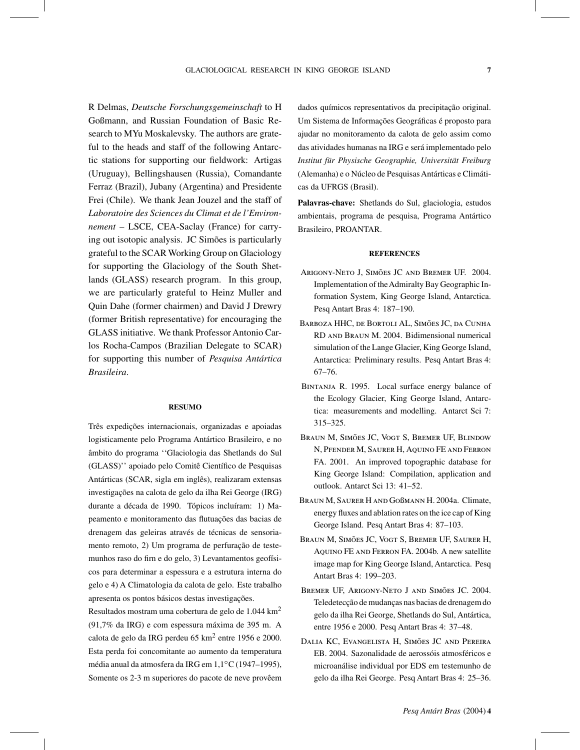R Delmas, *Deutsche Forschungsgemeinschaft* to H Goßmann, and Russian Foundation of Basic Research to MYu Moskalevsky. The authors are grateful to the heads and staff of the following Antarctic stations for supporting our fieldwork: Artigas (Uruguay), Bellingshausen (Russia), Comandante Ferraz (Brazil), Jubany (Argentina) and Presidente Frei (Chile). We thank Jean Jouzel and the staff of *Laboratoire des Sciences du Climat et de l'Environnement* – LSCE, CEA-Saclay (France) for carrying out isotopic analysis. JC Simões is particularly grateful to the SCAR Working Group on Glaciology for supporting the Glaciology of the South Shetlands (GLASS) research program. In this group, we are particularly grateful to Heinz Muller and Quin Dahe (former chairmen) and David J Drewry (former British representative) for encouraging the GLASS initiative. We thank Professor Antonio Carlos Rocha-Campos (Brazilian Delegate to SCAR) for supporting this number of *Pesquisa Antártica Brasileira*.

#### **RESUMO**

Três expedições internacionais, organizadas e apoiadas logisticamente pelo Programa Antártico Brasileiro, e no âmbito do programa ''Glaciologia das Shetlands do Sul (GLASS)'' apoiado pelo Comitê Científico de Pesquisas Antárticas (SCAR, sigla em inglês), realizaram extensas investigações na calota de gelo da ilha Rei George (IRG) durante a década de 1990. Tópicos incluíram: 1) Mapeamento e monitoramento das flutuações das bacias de drenagem das geleiras através de técnicas de sensoriamento remoto, 2) Um programa de perfuração de testemunhos raso do firn e do gelo, 3) Levantamentos geofísicos para determinar a espessura e a estrutura interna do gelo e 4) A Climatologia da calota de gelo. Este trabalho apresenta os pontos básicos destas investigações.

Resultados mostram uma cobertura de gelo de 1.044 km<sup>2</sup> (91,7% da IRG) e com espessura máxima de 395 m. A calota de gelo da IRG perdeu 65 km<sup>2</sup> entre 1956 e 2000. Esta perda foi concomitante ao aumento da temperatura média anual da atmosfera da IRG em 1,1◦C (1947–1995), Somente os 2-3 m superiores do pacote de neve provêem

dados químicos representativos da precipitação original. Um Sistema de Informações Geográficas é proposto para ajudar no monitoramento da calota de gelo assim como das atividades humanas na IRG e será implementado pelo *Institut für Physische Geographie, Universität Freiburg* (Alemanha) e o Núcleo de Pesquisas Antárticas e Climáticas da UFRGS (Brasil).

**Palavras-chave:** Shetlands do Sul, glaciologia, estudos ambientais, programa de pesquisa, Programa Antártico Brasileiro, PROANTAR.

### **REFERENCES**

- Arigony-Neto J, Simões JC and Bremer UF. 2004. Implementation of theAdmiralty Bay Geographic Information System, King George Island, Antarctica. Pesq Antart Bras 4: 187–190.
- BARBOZA HHC, DE BORTOLI AL, SIMÕES JC, DA CUNHA RD and Braun M. 2004. Bidimensional numerical simulation of the Lange Glacier, King George Island, Antarctica: Preliminary results. Pesq Antart Bras 4: 67–76.
- BINTANJA R. 1995. Local surface energy balance of the Ecology Glacier, King George Island, Antarctica: measurements and modelling. Antarct Sci 7: 315–325.
- Braun M, Simões JC, Vogt S, Bremer UF, Blindow N, Pfender M, Saurer H, Aquino FE and Ferron FA. 2001. An improved topographic database for King George Island: Compilation, application and outlook. Antarct Sci 13: 41–52.
- Braun M, Saurer H and Goßmann H. 2004a. Climate, energy fluxes and ablation rates on the ice cap of King George Island. Pesq Antart Bras 4: 87–103.
- Braun M, Simões JC, Vogt S, Bremer UF, Saurer H, Aquino FE and Ferron FA. 2004b. A new satellite image map for King George Island, Antarctica. Pesq Antart Bras 4: 199–203.
- Bremer UF, Arigony-Neto J and Simões JC. 2004. Teledetecção de mudanças nas bacias de drenagem do gelo da ilha Rei George, Shetlands do Sul, Antártica, entre 1956 e 2000. Pesq Antart Bras 4: 37–48.
- Dalia KC, Evangelista H, Simões JC and Pereira EB. 2004. Sazonalidade de aerossóis atmosféricos e microanálise individual por EDS em testemunho de gelo da ilha Rei George. Pesq Antart Bras 4: 25–36.